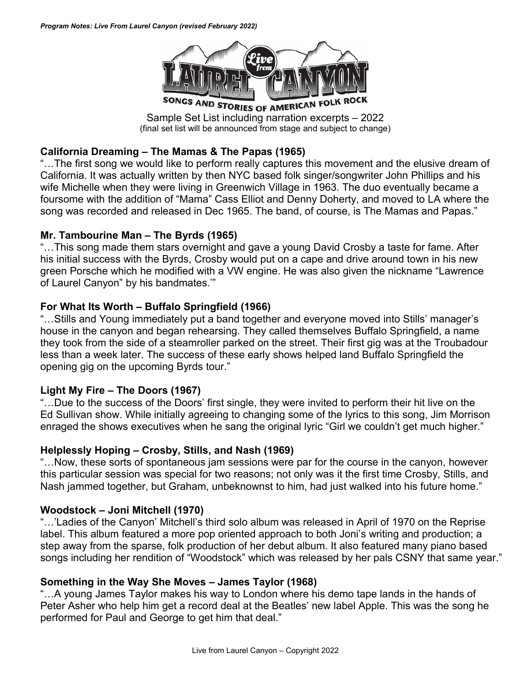

Sample Set List including narration excerpts – 2022 (final set list will be announced from stage and subject to change)

### **California Dreaming – The Mamas & The Papas (1965)**

"…The first song we would like to perform really captures this movement and the elusive dream of California. It was actually written by then NYC based folk singer/songwriter John Phillips and his wife Michelle when they were living in Greenwich Village in 1963. The duo eventually became a foursome with the addition of "Mama" Cass Elliot and Denny Doherty, and moved to LA where the song was recorded and released in Dec 1965. The band, of course, is The Mamas and Papas."

### **Mr. Tambourine Man – The Byrds (1965)**

"…This song made them stars overnight and gave a young David Crosby a taste for fame. After his initial success with the Byrds, Crosby would put on a cape and drive around town in his new green Porsche which he modified with a VW engine. He was also given the nickname "Lawrence of Laurel Canyon" by his bandmates.'"

### **For What Its Worth – Buffalo Springfield (1966)**

"…Stills and Young immediately put a band together and everyone moved into Stills' manager's house in the canyon and began rehearsing. They called themselves Buffalo Springfield, a name they took from the side of a steamroller parked on the street. Their first gig was at the Troubadour less than a week later. The success of these early shows helped land Buffalo Springfield the opening gig on the upcoming Byrds tour."

### **Light My Fire – The Doors (1967)**

"…Due to the success of the Doors' first single, they were invited to perform their hit live on the Ed Sullivan show. While initially agreeing to changing some of the lyrics to this song, Jim Morrison enraged the shows executives when he sang the original lyric "Girl we couldn't get much higher."

### **Helplessly Hoping – Crosby, Stills, and Nash (1969)**

"…Now, these sorts of spontaneous jam sessions were par for the course in the canyon, however this particular session was special for two reasons; not only was it the first time Crosby, Stills, and Nash jammed together, but Graham, unbeknownst to him, had just walked into his future home."

### **Woodstock – Joni Mitchell (1970)**

"…'Ladies of the Canyon' Mitchell's third solo album was released in April of 1970 on the Reprise label. This album featured a more pop oriented approach to both Joni's writing and production; a step away from the sparse, folk production of her debut album. It also featured many piano based songs including her rendition of "Woodstock" which was released by her pals CSNY that same year."

### **Something in the Way She Moves – James Taylor (1968)**

"…A young James Taylor makes his way to London where his demo tape lands in the hands of Peter Asher who help him get a record deal at the Beatles' new label Apple. This was the song he performed for Paul and George to get him that deal."